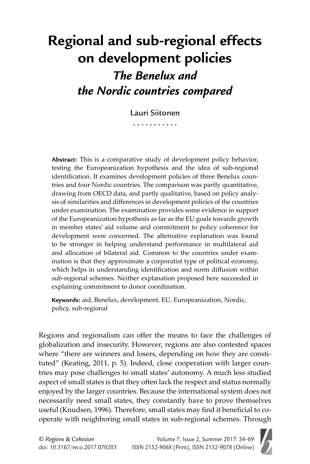# **Regional and sub-regional effects on development policies** *The Benelux and the Nordic countries compared*

Lauri Siitonen . . . . . . . . . . .

Abstract: This is a comparative study of development policy behavior, testing the Europeanization hypothesis and the idea of sub-regional identification. It examines development policies of three Benelux countries and four Nordic countries. The comparison was partly quantitative, drawing from OECD data, and partly qualitative, based on policy analysis of similarities and differences in development policies of the countries under examination. The examination provides some evidence in support of the Europeanization hypothesis as far as the EU goals towards growth in member states' aid volume and commitment to policy coherence for development were concerned. The alternative explanation was found to be stronger in helping understand performance in multilateral aid and allocation of bilateral aid. Common to the countries under examination is that they approximate a corporatist type of political economy, which helps in understanding identification and norm diffusion within sub-regional schemes. Neither explanation proposed here succeeded in explaining commitment to donor coordination.

**Keywords:** aid, Benelux, development, EU, Europeanization, Nordic, policy, sub-regional

Regions and regionalism can offer the means to face the challenges of globalization and insecurity. However, regions are also contested spaces where "there are winners and losers, depending on how they are constituted" (Keating, 2011, p. 5). Indeed, close cooperation with larger countries may pose challenges to small states' autonomy. A much less studied aspect of small states is that they often lack the respect and status normally enjoyed by the larger countries. Because the international system does not necessarily need small states, they constantly have to prove themselves useful (Knudsen, 1996). Therefore, small states may find it beneficial to cooperate with neighboring small states in sub-regional schemes. Through

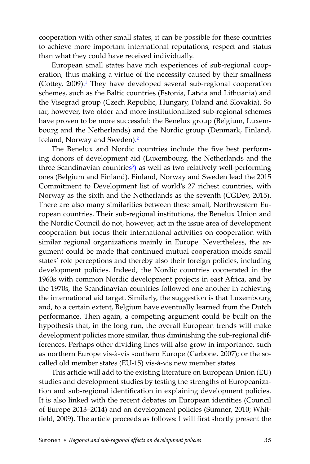cooperation with other small states, it can be possible for these countries to achieve more important international reputations, respect and status than what they could have received individually.

European small states have rich experiences of sub-regional cooperation, thus making a virtue of the necessity caused by their smallness (Cottey, 2009[\).](#page-22-0)<sup>1</sup> They have developed several sub-regional cooperation schemes, such as the Baltic countries (Estonia, Latvia and Lithuania) and the Visegrad group (Czech Republic, Hungary, Poland and Slovakia). So far, however, two older and more institutionalized sub-regional schemes have proven to be more successful: the Benelux group (Belgium, Luxembourg and the Netherlands) and the Nordic group (Denmark, Finland, Iceland, Norway and Sweden[\).](#page-22-0) 2

The Benelux and Nordic countries include the five best performing donors of development aid (Luxembourg, the Netherlands and the three Scandinavian countries<sup>3</sup>) as well as two relatively well-performing ones (Belgium and Finland). Finland, Norway and Sweden lead the 2015 Commitment to Development list of world's 27 richest countries, with Norway as the sixth and the Netherlands as the seventh (CGDev, 2015). There are also many similarities between these small, Northwestern European countries. Their sub-regional institutions, the Benelux Union and the Nordic Council do not, however, act in the issue area of development cooperation but focus their international activities on cooperation with similar regional organizations mainly in Europe. Nevertheless, the argument could be made that continued mutual cooperation molds small states' role perceptions and thereby also their foreign policies, including development policies. Indeed, the Nordic countries cooperated in the 1960s with common Nordic development projects in east Africa, and by the 1970s, the Scandinavian countries followed one another in achieving the international aid target. Similarly, the suggestion is that Luxembourg and, to a certain extent, Belgium have eventually learned from the Dutch performance. Then again, a competing argument could be built on the hypothesis that, in the long run, the overall European trends will make development policies more similar, thus diminishing the sub-regional differences. Perhaps other dividing lines will also grow in importance, such as northern Europe vis-à-vis southern Europe (Carbone, 2007); or the socalled old member states (EU-15) vis-à-vis new member states.

This article will add to the existing literature on European Union (EU) studies and development studies by testing the strengths of Europeanization and sub-regional identification in explaining development policies. It is also linked with the recent debates on European identities (Council of Europe 2013–2014) and on development policies (Sumner, 2010; Whitfield, 2009). The article proceeds as follows: I will first shortly present the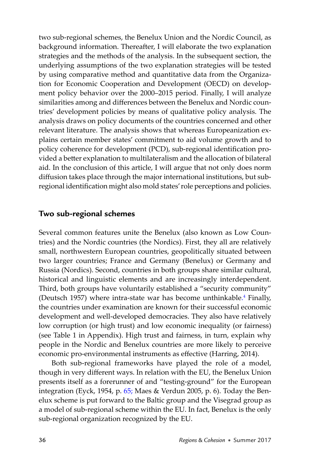two sub-regional schemes, the Benelux Union and the Nordic Council, as background information. Thereafter, I will elaborate the two explanation strategies and the methods of the analysis. In the subsequent section, the underlying assumptions of the two explanation strategies will be tested by using comparative method and quantitative data from the Organization for Economic Cooperation and Development (OECD) on development policy behavior over the 2000–2015 period. Finally, I will analyze similarities among and differences between the Benelux and Nordic countries' development policies by means of qualitative policy analysis. The analysis draws on policy documents of the countries concerned and other relevant literature. The analysis shows that whereas Europeanization explains certain member states' commitment to aid volume growth and to policy coherence for development (PCD), sub-regional identification provided a better explanation to multilateralism and the allocation of bilateral aid. In the conclusion of this article, I will argue that not only does norm diffusion takes place through the major international institutions, but subregional identification might also mold states' role perceptions and policies.

## **Two sub-regional schemes**

Several common features unite the Benelux (also known as Low Countries) and the Nordic countries (the Nordics). First, they all are relatively small, northwestern European countries, geopolitically situated between two larger countries; France and Germany (Benelux) or Germany and Russia (Nordics). Second, countries in both groups share similar cultural, historical and linguistic elements and are increasingly interdependent. Third, both groups have voluntarily established a "security community" (Deutsch 1957) where intra-state war has become unthinkabl[e.](#page-22-0) <sup>4</sup> Finally, the countries under examination are known for their successful economic development and well-developed democracies. They also have relatively low corruption (or high trust) and low economic inequality (or fairness) (see Table 1 in Appendix). High trust and fairness, in turn, explain why people in the Nordic and Benelux countries are more likely to perceive economic pro-environmental instruments as effective (Harring, 2014).

Both sub-regional frameworks have played the role of a model, though in very different ways. In relation with the EU, the Benelux Union presents itself as a forerunner of and "testing-ground" for the European integration (Eyck, 1954, p[. 65;](#page-31-0) Maes & Verdun 2005, p. 6). Today the Benelux scheme is put forward to the Baltic group and the Visegrad group as a model of sub-regional scheme within the EU. In fact, Benelux is the only sub-regional organization recognized by the EU.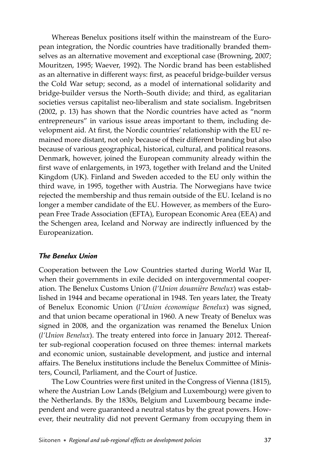Whereas Benelux positions itself within the mainstream of the European integration, the Nordic countries have traditionally branded themselves as an alternative movement and exceptional case (Browning, 2007; Mouritzen, 1995; Waever, 1992). The Nordic brand has been established as an alternative in different ways: first, as peaceful bridge-builder versus the Cold War setup; second, as a model of international solidarity and bridge-builder versus the North–South divide; and third, as egalitarian societies versus capitalist neo-liberalism and state socialism. Ingebritsen (2002, p. 13) has shown that the Nordic countries have acted as "norm entrepreneurs" in various issue areas important to them, including development aid. At first, the Nordic countries' relationship with the EU remained more distant, not only because of their different branding but also because of various geographical, historical, cultural, and political reasons. Denmark, however, joined the European community already within the first wave of enlargements, in 1973, together with Ireland and the United Kingdom (UK). Finland and Sweden acceded to the EU only within the third wave, in 1995, together with Austria. The Norwegians have twice rejected the membership and thus remain outside of the EU. Iceland is no longer a member candidate of the EU. However, as members of the European Free Trade Association (EFTA), European Economic Area (EEA) and the Schengen area, Iceland and Norway are indirectly influenced by the Europeanization.

## *The Benelux Union*

Cooperation between the Low Countries started during World War II, when their governments in exile decided on intergovernmental cooperation. The Benelux Customs Union (*l'Union douanière Benelux*) was established in 1944 and became operational in 1948. Ten years later, the Treaty of Benelux Economic Union (*l'Union économique Benelux*) was signed, and that union became operational in 1960. A new Treaty of Benelux was signed in 2008, and the organization was renamed the Benelux Union (*l'Union Benelux*). The treaty entered into force in January 2012. Thereafter sub-regional cooperation focused on three themes: internal markets and economic union, sustainable development, and justice and internal affairs. The Benelux institutions include the Benelux Committee of Ministers, Council, Parliament, and the Court of Justice.

The Low Countries were first united in the Congress of Vienna (1815), where the Austrian Low Lands (Belgium and Luxembourg) were given to the Netherlands. By the 1830s, Belgium and Luxembourg became independent and were guaranteed a neutral status by the great powers. However, their neutrality did not prevent Germany from occupying them in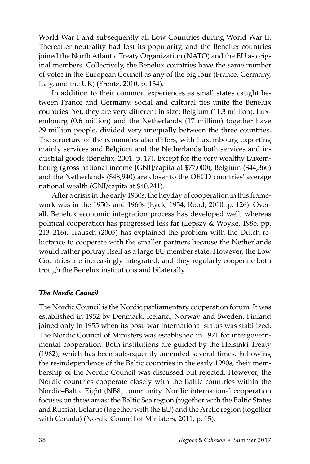World War I and subsequently all Low Countries during World War II. Thereafter neutrality had lost its popularity, and the Benelux countries joined the North Atlantic Treaty Organization (NATO) and the EU as original members. Collectively, the Benelux countries have the same number of votes in the European Council as any of the big four (France, Germany, Italy, and the UK) (Frentz, 2010, p. 134).

In addition to their common experiences as small states caught between France and Germany, social and cultural ties unite the Benelux countries. Yet, they are very different in size; Belgium (11.3 million), Luxembourg (0.6 million) and the Netherlands (17 million) together have 29 million people, divided very unequally between the three countries. The structure of the economies also differs, with Luxembourg exporting mainly services and Belgium and the Netherlands both services and industrial goods (Benelux, 2001, p. 17). Except for the very wealthy Luxembourg (gross national income [GNI]/capita at \$77,000), Belgium (\$44,360) and the Netherlands (\$48,940) are closer to the OECD countries' average national wealth (GNI/capita at \$40,241). [5](#page-22-0)

After a crisis in the early 1950s, the heyday of cooperation in this framework was in the 1950s and 1960s (Eyck, 1954; Rood, 2010, p. 126). Overall, Benelux economic integration process has developed well, whereas political cooperation has progressed less far (Lepszy & Woyke, 1985, pp. 213–216). Trausch (2005) has explained the problem with the Dutch reluctance to cooperate with the smaller partners because the Netherlands would rather portray itself as a large EU member state. However, the Low Countries are increasingly integrated, and they regularly cooperate both trough the Benelux institutions and bilaterally.

## *The Nordic Council*

The Nordic Council is the Nordic parliamentary cooperation forum. It was established in 1952 by Denmark, Iceland, Norway and Sweden. Finland joined only in 1955 when its post–war international status was stabilized. The Nordic Council of Ministers was established in 1971 for intergovernmental cooperation. Both institutions are guided by the Helsinki Treaty (1962), which has been subsequently amended several times. Following the re-independence of the Baltic countries in the early 1990s, their membership of the Nordic Council was discussed but rejected. However, the Nordic countries cooperate closely with the Baltic countries within the Nordic–Baltic Eight (NB8) community. Nordic international cooperation focuses on three areas: the Baltic Sea region (together with the Baltic States and Russia), Belarus (together with the EU) and the Arctic region (together with Canada) (Nordic Council of Ministers, 2011, p. 15).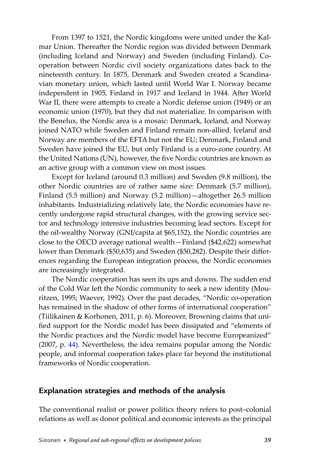From 1397 to 1521, the Nordic kingdoms were united under the Kalmar Union. Thereafter the Nordic region was divided between Denmark (including Iceland and Norway) and Sweden (including Finland). Cooperation between Nordic civil society organizations dates back to the nineteenth century. In 1875, Denmark and Sweden created a Scandinavian monetary union, which lasted until World War I. Norway became independent in 1905, Finland in 1917 and Iceland in 1944. After World War II, there were attempts to create a Nordic defense union (1949) or an economic union (1970), but they did not materialize. In comparison with the Benelux, the Nordic area is a mosaic: Denmark, Iceland, and Norway joined NATO while Sweden and Finland remain non-allied. Iceland and Norway are members of the EFTA but not the EU; Denmark, Finland and Sweden have joined the EU, but only Finland is a euro-zone country. At the United Nations (UN), however, the five Nordic countries are known as an active group with a common view on most issues.

Except for Iceland (around 0.3 million) and Sweden (9.8 million), the other Nordic countries are of rather same size: Denmark (5.7 million), Finland (5.5 million) and Norway (5.2 million)—altogether 26.5 million inhabitants. Industrializing relatively late, the Nordic economies have recently undergone rapid structural changes, with the growing service sector and technology intensive industries becoming lead sectors. Except for the oil-wealthy Norway (GNI/capita at \$65,152), the Nordic countries are close to the OECD average national wealth—Finland (\$42,622) somewhat lower than Denmark (\$50,635) and Sweden (\$50,282). Despite their differences regarding the European integration process, the Nordic economies are increasingly integrated.

The Nordic cooperation has seen its ups and downs. The sudden end of the Cold War left the Nordic community to seek a new identity (Mouritzen, 1995; Waever, 1992). Over the past decades, "Nordic co-operation has remained in the shadow of other forms of international cooperation" (Tiilikainen & Korhonen, 2011, p. 6). Moreover, Browning claims that unified support for the Nordic model has been dissipated and "elements of the Nordic practices and the Nordic model have become Europeanized" (2007, p. [44\)](#page-10-0). Nevertheless, the idea remains popular among the Nordic people, and informal cooperation takes place far beyond the institutional frameworks of Nordic cooperation.

# **Explanation strategies and methods of the analysis**

The conventional realist or power politics theory refers to post–colonial relations as well as donor political and economic interests as the principal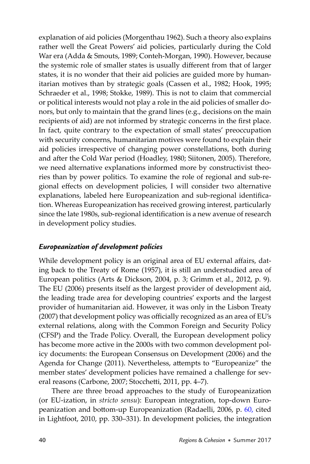explanation of aid policies (Morgenthau 1962). Such a theory also explains rather well the Great Powers' aid policies, particularly during the Cold War era (Adda & Smouts, 1989; Conteh-Morgan, 1990). However, because the systemic role of smaller states is usually different from that of larger states, it is no wonder that their aid policies are guided more by humanitarian motives than by strategic goals (Cassen et al., 1982; Hook, 1995; Schraeder et al., 1998; Stokke, 1989). This is not to claim that commercial or political interests would not play a role in the aid policies of smaller donors, but only to maintain that the grand lines (e.g., decisions on the main recipients of aid) are not informed by strategic concerns in the first place. In fact, quite contrary to the expectation of small states' preoccupation with security concerns, humanitarian motives were found to explain their aid policies irrespective of changing power constellations, both during and after the Cold War period (Hoadley, 1980; Siitonen, 2005). Therefore, we need alternative explanations informed more by constructivist theories than by power politics. To examine the role of regional and sub-regional effects on development policies, I will consider two alternative explanations, labeled here Europeanization and sub-regional identification. Whereas Europeanization has received growing interest, particularly since the late 1980s, sub-regional identification is a new avenue of research in development policy studies.

## *Europeanization of development policies*

While development policy is an original area of EU external affairs, dating back to the Treaty of Rome (1957), it is still an understudied area of European politics (Arts & Dickson, 2004, p. 3; Grimm et al., 2012, p. 9). The EU (2006) presents itself as the largest provider of development aid, the leading trade area for developing countries' exports and the largest provider of humanitarian aid. However, it was only in the Lisbon Treaty (2007) that development policy was officially recognized as an area of EU's external relations, along with the Common Foreign and Security Policy (CFSP) and the Trade Policy. Overall, the European development policy has become more active in the 2000s with two common development policy documents: the European Consensus on Development (2006) and the Agenda for Change (2011). Nevertheless, attempts to "Europeanize" the member states' development policies have remained a challenge for several reasons (Carbone, 2007; Stocchetti, 2011, pp. 4-7).

There are three broad approaches to the study of Europeanization (or EU-ization, in *stricto sensu*): European integration, top-down Euro-peanization and bottom-up Europeanization (Radaelli, 2006, p[. 60,](#page-26-0) cited in Lightfoot, 2010, pp. 330–331). In development policies, the integration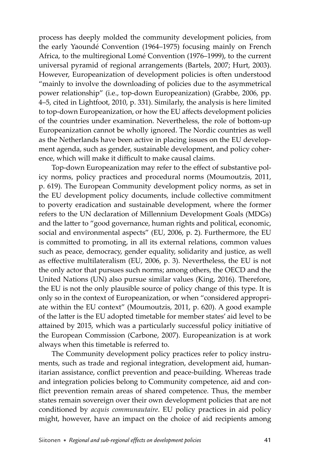process has deeply molded the community development policies, from the early Yaoundé Convention (1964–1975) focusing mainly on French Africa, to the multiregional Lomé Convention (1976–1999), to the current universal pyramid of regional arrangements (Bartels, 2007; Hurt, 2003). However, Europeanization of development policies is often understood "mainly to involve the downloading of policies due to the asymmetrical power relationship" (i.e., top-down Europeanization) (Grabbe, 2006, pp. 4–5, cited in Lightfoot, 2010, p. 331). Similarly, the analysis is here limited to top-down Europeanization, or how the EU affects development policies of the countries under examination. Nevertheless, the role of bottom-up Europeanization cannot be wholly ignored. The Nordic countries as well as the Netherlands have been active in placing issues on the EU development agenda, such as gender, sustainable development, and policy coherence, which will make it difficult to make causal claims.

Top-down Europeanization may refer to the effect of substantive policy norms, policy practices and procedural norms (Moumoutzis, 2011, p. 619). The European Community development policy norms, as set in the EU development policy documents, include collective commitment to poverty eradication and sustainable development, where the former refers to the UN declaration of Millennium Development Goals (MDGs) and the latter to "good governance, human rights and political, economic, social and environmental aspects" (EU, 2006, p. 2). Furthermore, the EU is committed to promoting, in all its external relations, common values such as peace, democracy, gender equality, solidarity and justice, as well as effective multilateralism (EU, 2006, p. 3). Nevertheless, the EU is not the only actor that pursues such norms; among others, the OECD and the United Nations (UN) also pursue similar values (King, 2016). Therefore, the EU is not the only plausible source of policy change of this type. It is only so in the context of Europeanization, or when "considered appropriate within the EU context" (Moumoutzis, 2011, p. 620). A good example of the latter is the EU adopted timetable for member states' aid level to be attained by 2015, which was a particularly successful policy initiative of the European Commission (Carbone, 2007). Europeanization is at work always when this timetable is referred to.

The Community development policy practices refer to policy instruments, such as trade and regional integration, development aid, humanitarian assistance, conflict prevention and peace-building. Whereas trade and integration policies belong to Community competence, aid and conflict prevention remain areas of shared competence. Thus, the member states remain sovereign over their own development policies that are not conditioned by *acquis communautaire*. EU policy practices in aid policy might, however, have an impact on the choice of aid recipients among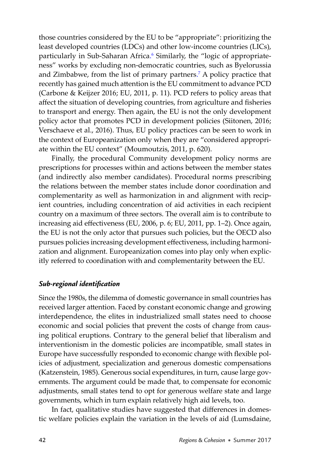<span id="page-8-0"></span>those countries considered by the EU to be "appropriate": prioritizing the least developed countries (LDCs) and other low-income countries (LICs), particularly in Sub-Saharan Africa. [6](#page-22-0) Similarly, the "logic of appropriateness" works by excluding non-democratic countries, such as Byelorussia and Zimbabwe, from the list of primary partners. [7](#page-22-0) A policy practice that recently has gained much attention is the EU commitment to advance PCD (Carbone & Keijzer 2016; EU, 2011, p. 11). PCD refers to policy areas that affect the situation of developing countries, from agriculture and fisheries to transport and energy. Then again, the EU is not the only development policy actor that promotes PCD in development policies (Siitonen, 2016; Verschaeve et al., 2016). Thus, EU policy practices can be seen to work in the context of Europeanization only when they are "considered appropriate within the EU context" (Moumoutzis, 2011, p. 620).

Finally, the procedural Community development policy norms are prescriptions for processes within and actions between the member states (and indirectly also member candidates). Procedural norms prescribing the relations between the member states include donor coordination and complementarity as well as harmonization in and alignment with recipient countries, including concentration of aid activities in each recipient country on a maximum of three sectors. The overall aim is to contribute to increasing aid effectiveness (EU, 2006, p. 6; EU, 2011, pp. 1–2). Once again, the EU is not the only actor that pursues such policies, but the OECD also pursues policies increasing development effectiveness, including harmonization and alignment. Europeanization comes into play only when explicitly referred to coordination with and complementarity between the EU.

## *Sub-regional identifi cation*

Since the 1980s, the dilemma of domestic governance in small countries has received larger attention. Faced by constant economic change and growing interdependence, the elites in industrialized small states need to choose economic and social policies that prevent the costs of change from causing political eruptions. Contrary to the general belief that liberalism and interventionism in the domestic policies are incompatible, small states in Europe have successfully responded to economic change with flexible policies of adjustment, specialization and generous domestic compensations (Katzenstein, 1985). Generous social expenditures, in turn, cause large governments. The argument could be made that, to compensate for economic adjustments, small states tend to opt for generous welfare state and large governments, which in turn explain relatively high aid levels, too.

In fact, qualitative studies have suggested that differences in domestic welfare policies explain the variation in the levels of aid (Lumsdaine,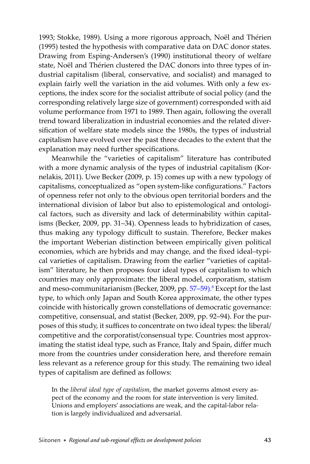1993; Stokke, 1989). Using a more rigorous approach, Noël and Thérien (1995) tested the hypothesis with comparative data on DAC donor states. Drawing from Esping-Andersen's (1990) institutional theory of welfare state, Noël and Thérien clustered the DAC donors into three types of industrial capitalism (liberal, conservative, and socialist) and managed to explain fairly well the variation in the aid volumes. With only a few exceptions, the index score for the socialist attribute of social policy (and the corresponding relatively large size of government) corresponded with aid volume performance from 1971 to 1989. Then again, following the overall trend toward liberalization in industrial economies and the related diversification of welfare state models since the 1980s, the types of industrial capitalism have evolved over the past three decades to the extent that the explanation may need further specifications.

Meanwhile the "varieties of capitalism" literature has contributed with a more dynamic analysis of the types of industrial capitalism (Kornelakis, 2011). Uwe Becker (2009, p. 15) comes up with a new typology of capitalisms, conceptualized as "open system-like configurations." Factors of openness refer not only to the obvious open territorial borders and the international division of labor but also to epistemological and ontological factors, such as diversity and lack of determinability within capitalisms (Becker, 2009, pp. 31–34). Openness leads to hybridization of cases, thus making any typology difficult to sustain. Therefore, Becker makes the important Weberian distinction between empirically given political economies, which are hybrids and may change, and the fixed ideal-typical varieties of capitalism. Drawing from the earlier "varieties of capitalism" literature, he then proposes four ideal types of capitalism to which countries may only approximate: the liberal model, corporatism, statism and meso-communitarianism (Becker, 2009, pp. [57](#page-23-0)[–59\)](#page-25-0).<sup>8</sup> Except for the last type, to which only Japan and South Korea approximate, the other types coincide with historically grown constellations of democratic governance: competitive, consensual, and statist (Becker, 2009, pp. 92–94). For the purposes of this study, it suffices to concentrate on two ideal types: the liberal/ competitive and the corporatist/consensual type. Countries most approximating the statist ideal type, such as France, Italy and Spain, differ much more from the countries under consideration here, and therefore remain less relevant as a reference group for this study. The remaining two ideal types of capitalism are defined as follows:

In the *liberal ideal type of capitalism*, the market governs almost every aspect of the economy and the room for state intervention is very limited. Unions and employers' associations are weak, and the capital-labor relation is largely individualized and adversarial.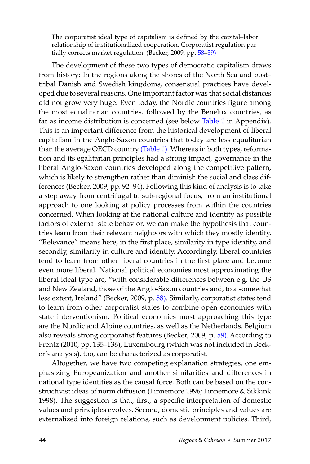<span id="page-10-0"></span>The corporatist ideal type of capitalism is defined by the capital-labor relationship of institutionalized cooperation. Corporatist regulation partially corrects market regulation. (Becker, 2009, pp[. 58–](#page-24-0)[59\)](#page-25-0)

The development of these two types of democratic capitalism draws from history: In the regions along the shores of the North Sea and post– tribal Danish and Swedish kingdoms, consensual practices have developed due to several reasons. One important factor was that social distances did not grow very huge. Even today, the Nordic countries figure among the most equalitarian countries, followed by the Benelux countries, as far as income distribution is concerned (see belo[w Table 1](#page-28-0) in Appendix). This is an important difference from the historical development of liberal capitalism in the Anglo-Saxon countries that today are less equalitarian than the average OECD country [\(Table 1\)](#page-28-0). Whereas in both types, reformation and its egalitarian principles had a strong impact, governance in the liberal Anglo-Saxon countries developed along the competitive pattern, which is likely to strengthen rather than diminish the social and class differences (Becker, 2009, pp. 92–94). Following this kind of analysis is to take a step away from centrifugal to sub-regional focus, from an institutional approach to one looking at policy processes from within the countries concerned. When looking at the national culture and identity as possible factors of external state behavior, we can make the hypothesis that countries learn from their relevant neighbors with which they mostly identify. "Relevance" means here, in the first place, similarity in type identity, and secondly, similarity in culture and identity. Accordingly, liberal countries tend to learn from other liberal countries in the first place and become even more liberal. National political economies most approximating the liberal ideal type are, "with considerable differences between e.g. the US and New Zealand, those of the Anglo-Saxon countries and, to a somewhat less extent, Ireland" (Becker, 2009, p. [58\)](#page-24-0). Similarly, corporatist states tend to learn from other corporatist states to combine open economies with state interventionism. Political economies most approaching this type are the Nordic and Alpine countries, as well as the Netherlands. Belgium also reveals strong corporatist features (Becker, 2009, p. [59\)](#page-25-0). According to Frentz (2010, pp. 135–136), Luxembourg (which was not included in Becker's analysis), too, can be characterized as corporatist.

Altogether, we have two competing explanation strategies, one emphasizing Europeanization and another similarities and differences in national type identities as the causal force. Both can be based on the constructivist ideas of norm diffusion (Finnemore 1996; Finnemore & Sikkink 1998). The suggestion is that, first, a specific interpretation of domestic values and principles evolves. Second, domestic principles and values are externalized into foreign relations, such as development policies. Third,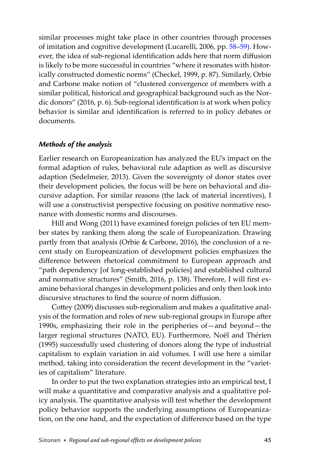similar processes might take place in other countries through processes of imitation and cognitive development (Lucarelli, 2006, pp. [58–](#page-24-0)[59\).](#page-25-0) However, the idea of sub-regional identification adds here that norm diffusion is likely to be more successful in countries "where it resonates with historically constructed domestic norms" (Checkel, 1999, p. 87). Similarly, Orbie and Carbone make notion of "clustered convergence of members with a similar political, historical and geographical background such as the Nordic donors" (2016, p. 6). Sub-regional identification is at work when policy behavior is similar and identification is referred to in policy debates or documents.

## *Methods of the analysis*

Earlier research on Europeanization has analyzed the EU's impact on the formal adaption of rules, behavioral rule adaption as well as discursive adaption (Sedelmeier, 2013). Given the sovereignty of donor states over their development policies, the focus will be here on behavioral and discursive adaption. For similar reasons (the lack of material incentives), I will use a constructivist perspective focusing on positive normative resonance with domestic norms and discourses.

Hill and Wong (2011) have examined foreign policies of ten EU member states by ranking them along the scale of Europeanization. Drawing partly from that analysis (Orbie & Carbone, 2016), the conclusion of a recent study on Europeanization of development policies emphasizes the difference between rhetorical commitment to European approach and "path dependency [of long-established policies] and established cultural and normative structures" (Smith, 2016, p. 138). Therefore, I will first examine behavioral changes in development policies and only then look into discursive structures to find the source of norm diffusion.

Cottey (2009) discusses sub-regionalism and makes a qualitative analysis of the formation and roles of new sub-regional groups in Europe after 1990s, emphasizing their role in the peripheries of—and beyond—the larger regional structures (NATO, EU). Furthermore, Noël and Thérien (1995) successfully used clustering of donors along the type of industrial capitalism to explain variation in aid volumes. I will use here a similar method, taking into consideration the recent development in the "varieties of capitalism" literature.

In order to put the two explanation strategies into an empirical test, I will make a quantitative and comparative analysis and a qualitative policy analysis. The quantitative analysis will test whether the development policy behavior supports the underlying assumptions of Europeanization, on the one hand, and the expectation of difference based on the type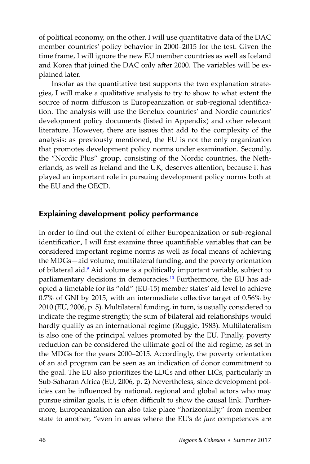of political economy, on the other. I will use quantitative data of the DAC member countries' policy behavior in 2000–2015 for the test. Given the time frame, I will ignore the new EU member countries as well as Iceland and Korea that joined the DAC only after 2000. The variables will be explained later.

Insofar as the quantitative test supports the two explanation strategies, I will make a qualitative analysis to try to show to what extent the source of norm diffusion is Europeanization or sub-regional identification. The analysis will use the Benelux countries' and Nordic countries' development policy documents (listed in Appendix) and other relevant literature. However, there are issues that add to the complexity of the analysis: as previously mentioned, the EU is not the only organization that promotes development policy norms under examination. Secondly, the "Nordic Plus" group, consisting of the Nordic countries, the Netherlands, as well as Ireland and the UK, deserves attention, because it has played an important role in pursuing development policy norms both at the EU and the OECD.

# **Explaining development policy performance**

In order to find out the extent of either Europeanization or sub-regional identification, I will first examine three quantifiable variables that can be considered important regime norms as well as focal means of achieving the MDGs—aid volume, multilateral funding, and the poverty orientation of bilateral aid. [9](#page-22-0) Aid volume is a politically important variable, subject to parliamentary decisions in democracies.<sup>[10](#page-22-0)</sup> Furthermore, the EU has adopted a timetable for its "old" (EU-15) member states' aid level to achieve 0.7% of GNI by 2015, with an intermediate collective target of 0.56% by 2010 (EU, 2006, p. 5). Multilateral funding, in turn, is usually considered to indicate the regime strength; the sum of bilateral aid relationships would hardly qualify as an international regime (Ruggie, 1983). Multilateralism is also one of the principal values promoted by the EU. Finally, poverty reduction can be considered the ultimate goal of the aid regime, as set in the MDGs for the years 2000–2015. Accordingly, the poverty orientation of an aid program can be seen as an indication of donor commitment to the goal. The EU also prioritizes the LDCs and other LICs, particularly in Sub-Saharan Africa (EU, 2006, p. 2) Nevertheless, since development policies can be influenced by national, regional and global actors who may pursue similar goals, it is often difficult to show the causal link. Furthermore, Europeanization can also take place "horizontally," from member state to another, "even in areas where the EU's *de jure* competences are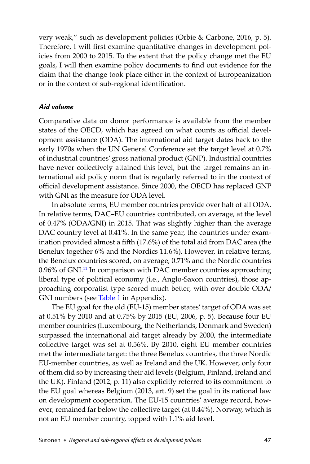very weak," such as development policies (Orbie & Carbone, 2016, p. 5). Therefore, I will first examine quantitative changes in development policies from 2000 to 2015. To the extent that the policy change met the EU goals, I will then examine policy documents to find out evidence for the claim that the change took place either in the context of Europeanization or in the context of sub-regional identification.

## *Aid volume*

Comparative data on donor performance is available from the member states of the OECD, which has agreed on what counts as official development assistance (ODA). The international aid target dates back to the early 1970s when the UN General Conference set the target level at 0.7% of industrial countries' gross national product (GNP). Industrial countries have never collectively attained this level, but the target remains an international aid policy norm that is regularly referred to in the context of official development assistance. Since 2000, the OECD has replaced GNP with GNI as the measure for ODA level.

In absolute terms, EU member countries provide over half of all ODA. In relative terms, DAC–EU countries contributed, on average, at the level of 0.47% (ODA/GNI) in 2015. That was slightly higher than the average DAC country level at 0.41%. In the same year, the countries under examination provided almost a fifth (17.6%) of the total aid from DAC area (the Benelux together 6% and the Nordics 11.6%). However, in relative terms, the Benelux countries scored, on average, 0.71% and the Nordic countries 0.96% of GNI.<sup>11</sup> In comparison with DAC member countries approaching liberal type of political economy (i.e., Anglo-Saxon countries), those approaching corporatist type scored much better, with over double ODA/ GNI numbers (see [Table 1](#page-28-0) in Appendix).

The EU goal for the old (EU-15) member states' target of ODA was set at 0.51% by 2010 and at 0.75% by 2015 (EU, 2006, p. 5). Because four EU member countries (Luxembourg, the Netherlands, Denmark and Sweden) surpassed the international aid target already by 2000, the intermediate collective target was set at 0.56%. By 2010, eight EU member countries met the intermediate target: the three Benelux countries, the three Nordic EU-member countries, as well as Ireland and the UK. However, only four of them did so by increasing their aid levels (Belgium, Finland, Ireland and the UK). Finland (2012, p. 11) also explicitly referred to its commitment to the EU goal whereas Belgium (2013, art. 9) set the goal in its national law on development cooperation. The EU-15 countries' average record, however, remained far below the collective target (at 0.44%). Norway, which is not an EU member country, topped with 1.1% aid level.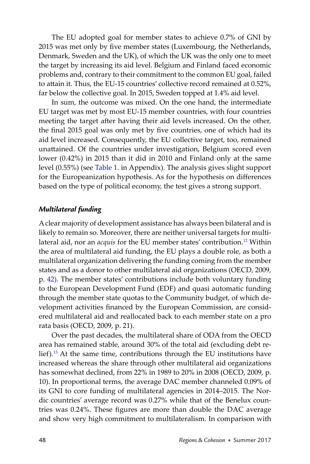The EU adopted goal for member states to achieve 0.7% of GNI by 2015 was met only by five member states (Luxembourg, the Netherlands, Denmark, Sweden and the UK), of which the UK was the only one to meet the target by increasing its aid level. Belgium and Finland faced economic problems and, contrary to their commitment to the common EU goal, failed to attain it. Thus, the EU-15 countries' collective record remained at 0.52%, far below the collective goal. In 2015, Sweden topped at 1.4% aid level.

In sum, the outcome was mixed. On the one hand, the intermediate EU target was met by most EU-15 member countries, with four countries meeting the target after having their aid levels increased. On the other, the final 2015 goal was only met by five countries, one of which had its aid level increased. Consequently, the EU collective target, too, remained unattained. Of the countries under investigation, Belgium scored even lower (0.42%) in 2015 than it did in 2010 and Finland only at the same level (0.55%) (see [Table 1.](#page-28-0) in Appendix). The analysis gives slight support for the Europeanization hypothesis. As for the hypothesis on differences based on the type of political economy, the test gives a strong support.

#### *Multilateral funding*

A clear majority of development assistance has always been bilateral and is likely to remain so. Moreover, there are neither universal targets for multilateral aid, nor an *acquis* for the EU member states' contribution.<sup>12</sup> Within the area of multilateral aid funding, the EU plays a double role, as both a multilateral organization delivering the funding coming from the member states and as a donor to other multilateral aid organizations (OECD, 2009, p. [42\)](#page-8-0). The member states' contributions include both voluntary funding to the European Development Fund (EDF) and quasi automatic funding through the member state quotas to the Community budget, of which development activities financed by the European Commission, are considered multilateral aid and reallocated back to each member state on a pro rata basis (OECD, 2009, p. 21).

Over the past decades, the multilateral share of ODA from the OECD area has remained stable, around 30% of the total aid (excluding debt relief).<sup>13</sup> At the same time, contributions through the EU institutions have increased whereas the share through other multilateral aid organizations has somewhat declined, from 22% in 1989 to 20% in 2008 (OECD, 2009, p. 10). In proportional terms, the average DAC member channeled 0.09% of its GNI to core funding of multilateral agencies in 2014–2015. The Nordic countries' average record was 0.27% while that of the Benelux countries was 0.24%. These figures are more than double the DAC average and show very high commitment to multilateralism. In comparison with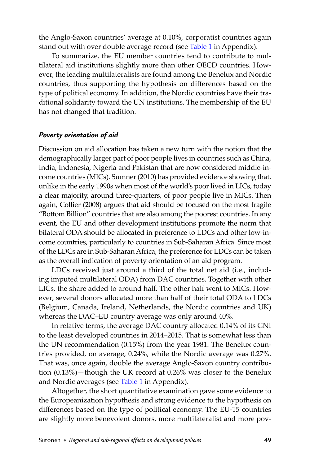the Anglo-Saxon countries' average at 0.10%, corporatist countries again stand out with over double average record (see [Table 1 i](#page-28-0)n Appendix).

To summarize, the EU member countries tend to contribute to multilateral aid institutions slightly more than other OECD countries. However, the leading multilateralists are found among the Benelux and Nordic countries, thus supporting the hypothesis on differences based on the type of political economy. In addition, the Nordic countries have their traditional solidarity toward the UN institutions. The membership of the EU has not changed that tradition.

## *Poverty orientation of aid*

Discussion on aid allocation has taken a new turn with the notion that the demographically larger part of poor people lives in countries such as China, India, Indonesia, Nigeria and Pakistan that are now considered middle-income countries (MICs). Sumner (2010) has provided evidence showing that, unlike in the early 1990s when most of the world's poor lived in LICs, today a clear majority, around three-quarters, of poor people live in MICs. Then again, Collier (2008) argues that aid should be focused on the most fragile "Bottom Billion" countries that are also among the poorest countries. In any event, the EU and other development institutions promote the norm that bilateral ODA should be allocated in preference to LDCs and other low-income countries, particularly to countries in Sub-Saharan Africa. Since most of the LDCs are in Sub-Saharan Africa, the preference for LDCs can be taken as the overall indication of poverty orientation of an aid program.

LDCs received just around a third of the total net aid (i.e., including imputed multilateral ODA) from DAC countries. Together with other LICs, the share added to around half. The other half went to MICs. However, several donors allocated more than half of their total ODA to LDCs (Belgium, Canada, Ireland, Netherlands, the Nordic countries and UK) whereas the DAC–EU country average was only around 40%.

In relative terms, the average DAC country allocated 0.14% of its GNI to the least developed countries in 2014–2015. That is somewhat less than the UN recommendation (0.15%) from the year 1981. The Benelux countries provided, on average, 0.24%, while the Nordic average was 0.27%. That was, once again, double the average Anglo-Saxon country contribution (0.13%)—though the UK record at 0.26% was closer to the Benelux and Nordic averages (see [Table 1](#page-28-0) in Appendix).

Altogether, the short quantitative examination gave some evidence to the Europeanization hypothesis and strong evidence to the hypothesis on differences based on the type of political economy. The EU-15 countries are slightly more benevolent donors, more multilateralist and more pov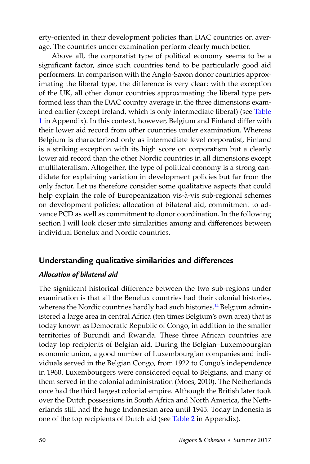erty-oriented in their development policies than DAC countries on average. The countries under examination perform clearly much better.

Above all, the corporatist type of political economy seems to be a significant factor, since such countries tend to be particularly good aid performers. In comparison with the Anglo-Saxon donor countries approximating the liberal type, the difference is very clear: with the exception of the UK, all other donor countries approximating the liberal type performed less than the DAC country average in the three dimensions examined earlier (except Ireland, which is only intermediate liberal) (see [Table](#page-28-0)  [1](#page-28-0) in Appendix). In this context, however, Belgium and Finland differ with their lower aid record from other countries under examination. Whereas Belgium is characterized only as intermediate level corporatist, Finland is a striking exception with its high score on corporatism but a clearly lower aid record than the other Nordic countries in all dimensions except multilateralism. Altogether, the type of political economy is a strong candidate for explaining variation in development policies but far from the only factor. Let us therefore consider some qualitative aspects that could help explain the role of Europeanization vis-à-vis sub-regional schemes on development policies: allocation of bilateral aid, commitment to advance PCD as well as commitment to donor coordination. In the following section I will look closer into similarities among and differences between individual Benelux and Nordic countries.

# **Understanding qualitative similarities and differences**

# *Allocation of bilateral aid*

The significant historical difference between the two sub-regions under examination is that all the Benelux countries had their colonial histories, whereas the Nordic countries hardly had such histories.<sup>14</sup> Belgium administered a large area in central Africa (ten times Belgium's own area) that is today known as Democratic Republic of Congo, in addition to the smaller territories of Burundi and Rwanda. These three African countries are today top recipients of Belgian aid. During the Belgian–Luxembourgian economic union, a good number of Luxembourgian companies and individuals served in the Belgian Congo, from 1922 to Congo's independence in 1960. Luxembourgers were considered equal to Belgians, and many of them served in the colonial administration (Moes, 2010). The Netherlands once had the third largest colonial empire. Although the British later took over the Dutch possessions in South Africa and North America, the Netherlands still had the huge Indonesian area until 1945. Today Indonesia is one of the top recipients of Dutch aid (see [Table 2](#page-30-0) in Appendix).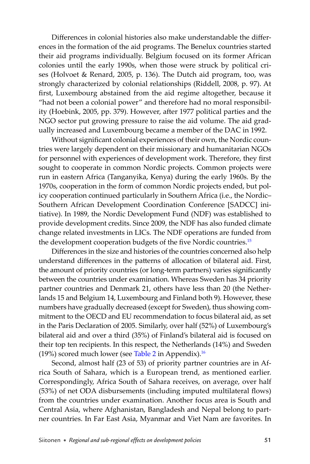Differences in colonial histories also make understandable the differences in the formation of the aid programs. The Benelux countries started their aid programs individually. Belgium focused on its former African colonies until the early 1990s, when those were struck by political crises (Holvoet & Renard, 2005, p. 136). The Dutch aid program, too, was strongly characterized by colonial relationships (Riddell, 2008, p. 97). At first, Luxembourg abstained from the aid regime altogether, because it "had not been a colonial power" and therefore had no moral responsibility (Hoebink, 2005, pp. 379). However, after 1977 political parties and the NGO sector put growing pressure to raise the aid volume. The aid gradually increased and Luxembourg became a member of the DAC in 1992.

Without significant colonial experiences of their own, the Nordic countries were largely dependent on their missionary and humanitarian NGOs for personnel with experiences of development work. Therefore, they first sought to cooperate in common Nordic projects. Common projects were run in eastern Africa (Tanganyika, Kenya) during the early 1960s. By the 1970s, cooperation in the form of common Nordic projects ended, but policy cooperation continued particularly in Southern Africa (i.e., the Nordic– Southern African Development Coordination Conference [SADCC] initiative). In 1989, the Nordic Development Fund (NDF) was established to provide development credits. Since 2009, the NDF has also funded climate change related investments in LICs. The NDF operations are funded from the development cooperation budgets of the five Nordic countries.<sup>15</sup>

Differences in the size and histories of the countries concerned also help understand differences in the patterns of allocation of bilateral aid. First, the amount of priority countries (or long-term partners) varies significantly between the countries under examination. Whereas Sweden has 34 priority partner countries and Denmark 21, others have less than 20 (the Netherlands 15 and Belgium 14, Luxembourg and Finland both 9). However, these numbers have gradually decreased (except for Sweden), thus showing commitment to the OECD and EU recommendation to focus bilateral aid, as set in the Paris Declaration of 2005. Similarly, over half (52%) of Luxembourg's bilateral aid and over a third (35%) of Finland's bilateral aid is focused on their top ten recipients. In this respect, the Netherlands (14%) and Sweden (19%) scored much lower (see [Table 2](#page-30-0) in Appendix).<sup>16</sup>

Second, almost half (23 of 53) of priority partner countries are in Africa South of Sahara, which is a European trend, as mentioned earlier. Correspondingly, Africa South of Sahara receives, on average, over half (53%) of net ODA disbursements (including imputed multilateral flows) from the countries under examination. Another focus area is South and Central Asia, where Afghanistan, Bangladesh and Nepal belong to partner countries. In Far East Asia, Myanmar and Viet Nam are favorites. In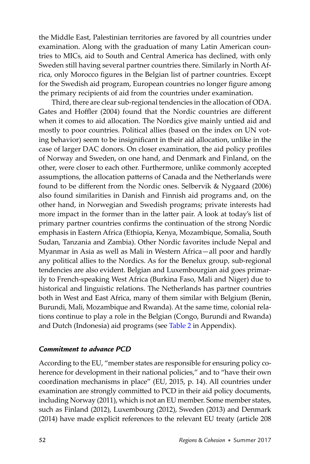the Middle East, Palestinian territories are favored by all countries under examination. Along with the graduation of many Latin American countries to MICs, aid to South and Central America has declined, with only Sweden still having several partner countries there. Similarly in North Africa, only Morocco figures in the Belgian list of partner countries. Except for the Swedish aid program, European countries no longer figure among the primary recipients of aid from the countries under examination.

Third, there are clear sub-regional tendencies in the allocation of ODA. Gates and Hoffler (2004) found that the Nordic countries are different when it comes to aid allocation. The Nordics give mainly untied aid and mostly to poor countries. Political allies (based on the index on UN voting behavior) seem to be insignificant in their aid allocation, unlike in the case of larger DAC donors. On closer examination, the aid policy profiles of Norway and Sweden, on one hand, and Denmark and Finland, on the other, were closer to each other. Furthermore, unlike commonly accepted assumptions, the allocation patterns of Canada and the Netherlands were found to be different from the Nordic ones. Selbervik & Nygaard (2006) also found similarities in Danish and Finnish aid programs and, on the other hand, in Norwegian and Swedish programs; private interests had more impact in the former than in the latter pair. A look at today's list of primary partner countries confirms the continuation of the strong Nordic emphasis in Eastern Africa (Ethiopia, Kenya, Mozambique, Somalia, South Sudan, Tanzania and Zambia). Other Nordic favorites include Nepal and Myanmar in Asia as well as Mali in Western Africa—all poor and hardly any political allies to the Nordics. As for the Benelux group, sub-regional tendencies are also evident. Belgian and Luxembourgian aid goes primarily to French-speaking West Africa (Burkina Faso, Mali and Niger) due to historical and linguistic relations. The Netherlands has partner countries both in West and East Africa, many of them similar with Belgium (Benin, Burundi, Mali, Mozambique and Rwanda). At the same time, colonial relations continue to play a role in the Belgian (Congo, Burundi and Rwanda) and Dutch (Indonesia) aid programs (see [Table 2](#page-30-0) in Appendix).

# *Commitment to advance PCD*

According to the EU, "member states are responsible for ensuring policy coherence for development in their national policies," and to "have their own coordination mechanisms in place" (EU, 2015, p. 14). All countries under examination are strongly committed to PCD in their aid policy documents, including Norway (2011), which is not an EU member. Some member states, such as Finland (2012), Luxembourg (2012), Sweden (2013) and Denmark (2014) have made explicit references to the relevant EU treaty (article 208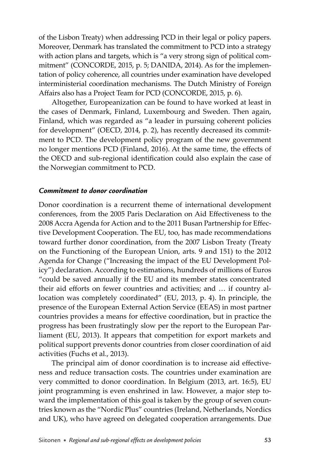of the Lisbon Treaty) when addressing PCD in their legal or policy papers. Moreover, Denmark has translated the commitment to PCD into a strategy with action plans and targets, which is "a very strong sign of political commitment" (CONCORDE, 2015, p. 5; DANIDA, 2014). As for the implementation of policy coherence, all countries under examination have developed interministerial coordination mechanisms. The Dutch Ministry of Foreign Affairs also has a Project Team for PCD (CONCORDE, 2015, p. 6).

Altogether, Europeanization can be found to have worked at least in the cases of Denmark, Finland, Luxembourg and Sweden. Then again, Finland, which was regarded as "a leader in pursuing coherent policies for development" (OECD, 2014, p. 2), has recently decreased its commitment to PCD. The development policy program of the new government no longer mentions PCD (Finland, 2016). At the same time, the effects of the OECD and sub-regional identification could also explain the case of the Norwegian commitment to PCD.

## *Commitment to donor coordination*

Donor coordination is a recurrent theme of international development conferences, from the 2005 Paris Declaration on Aid Effectiveness to the 2008 Accra Agenda for Action and to the 2011 Busan Partnership for Effective Development Cooperation. The EU, too, has made recommendations toward further donor coordination, from the 2007 Lisbon Treaty (Treaty on the Functioning of the European Union, arts. 9 and 151) to the 2012 Agenda for Change ("Increasing the impact of the EU Development Policy") declaration. According to estimations, hundreds of millions of Euros "could be saved annually if the EU and its member states concentrated their aid efforts on fewer countries and activities; and ... if country allocation was completely coordinated" (EU, 2013, p. 4). In principle, the presence of the European External Action Service (EEAS) in most partner countries provides a means for effective coordination, but in practice the progress has been frustratingly slow per the report to the European Parliament (EU, 2013). It appears that competition for export markets and political support prevents donor countries from closer coordination of aid activities (Fuchs et al., 2013).

The principal aim of donor coordination is to increase aid effectiveness and reduce transaction costs. The countries under examination are very committed to donor coordination. In Belgium (2013, art. 16:5), EU joint programming is even enshrined in law. However, a major step toward the implementation of this goal is taken by the group of seven countries known as the "Nordic Plus" countries (Ireland, Netherlands, Nordics and UK), who have agreed on delegated cooperation arrangements. Due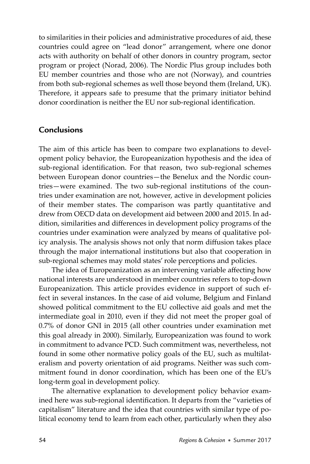to similarities in their policies and administrative procedures of aid, these countries could agree on "lead donor" arrangement, where one donor acts with authority on behalf of other donors in country program, sector program or project (Norad, 2006). The Nordic Plus group includes both EU member countries and those who are not (Norway), and countries from both sub-regional schemes as well those beyond them (Ireland, UK). Therefore, it appears safe to presume that the primary initiator behind donor coordination is neither the EU nor sub-regional identification.

## **Conclusions**

The aim of this article has been to compare two explanations to development policy behavior, the Europeanization hypothesis and the idea of sub-regional identification. For that reason, two sub-regional schemes between European donor countries—the Benelux and the Nordic countries—were examined. The two sub-regional institutions of the countries under examination are not, however, active in development policies of their member states. The comparison was partly quantitative and drew from OECD data on development aid between 2000 and 2015. In addition, similarities and differences in development policy programs of the countries under examination were analyzed by means of qualitative policy analysis. The analysis shows not only that norm diffusion takes place through the major international institutions but also that cooperation in sub-regional schemes may mold states' role perceptions and policies.

The idea of Europeanization as an intervening variable affecting how national interests are understood in member countries refers to top-down Europeanization. This article provides evidence in support of such effect in several instances. In the case of aid volume, Belgium and Finland showed political commitment to the EU collective aid goals and met the intermediate goal in 2010, even if they did not meet the proper goal of 0.7% of donor GNI in 2015 (all other countries under examination met this goal already in 2000). Similarly, Europeanization was found to work in commitment to advance PCD. Such commitment was, nevertheless, not found in some other normative policy goals of the EU, such as multilateralism and poverty orientation of aid programs. Neither was such commitment found in donor coordination, which has been one of the EU's long-term goal in development policy.

The alternative explanation to development policy behavior examined here was sub-regional identification. It departs from the "varieties of capitalism" literature and the idea that countries with similar type of political economy tend to learn from each other, particularly when they also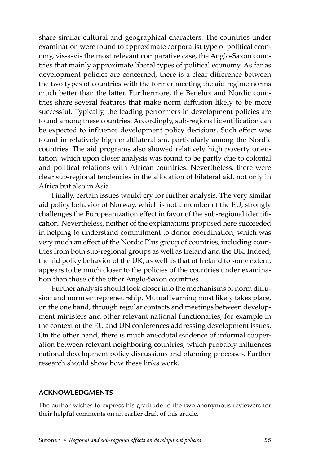share similar cultural and geographical characters. The countries under examination were found to approximate corporatist type of political economy, vis-a-vis the most relevant comparative case, the Anglo-Saxon countries that mainly approximate liberal types of political economy. As far as development policies are concerned, there is a clear difference between the two types of countries with the former meeting the aid regime norms much better than the latter. Furthermore, the Benelux and Nordic countries share several features that make norm diffusion likely to be more successful. Typically, the leading performers in development policies are found among these countries. Accordingly, sub-regional identification can be expected to influence development policy decisions. Such effect was found in relatively high multilateralism, particularly among the Nordic countries. The aid programs also showed relatively high poverty orientation, which upon closer analysis was found to be partly due to colonial and political relations with African countries. Nevertheless, there were clear sub-regional tendencies in the allocation of bilateral aid, not only in Africa but also in Asia.

Finally, certain issues would cry for further analysis. The very similar aid policy behavior of Norway, which is not a member of the EU, strongly challenges the Europeanization effect in favor of the sub-regional identification. Nevertheless, neither of the explanations proposed here succeeded in helping to understand commitment to donor coordination, which was very much an effect of the Nordic Plus group of countries, including countries from both sub-regional groups as well as Ireland and the UK. Indeed, the aid policy behavior of the UK, as well as that of Ireland to some extent, appears to be much closer to the policies of the countries under examination than those of the other Anglo-Saxon countries.

Further analysis should look closer into the mechanisms of norm diffusion and norm entrepreneurship. Mutual learning most likely takes place, on the one hand, through regular contacts and meetings between development ministers and other relevant national functionaries, for example in the context of the EU and UN conferences addressing development issues. On the other hand, there is much anecdotal evidence of informal cooperation between relevant neighboring countries, which probably influences national development policy discussions and planning processes. Further research should show how these links work.

#### **ACKNOWLEDGMENTS**

The author wishes to express his gratitude to the two anonymous reviewers for their helpful comments on an earlier draft of this article.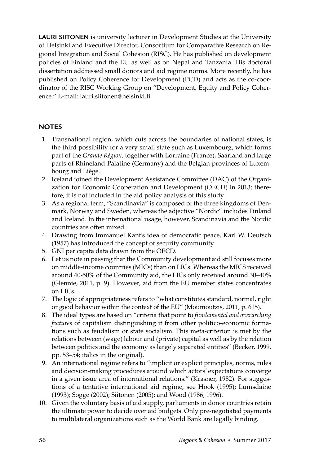<span id="page-22-0"></span>**LAURI SIITONEN** is university lecturer in Development Studies at the University of Helsinki and Executive Director, Consortium for Comparative Research on Regional Integration and Social Cohesion (RISC). He has published on development policies of Finland and the EU as well as on Nepal and Tanzania. His doctoral dissertation addressed small donors and aid regime norms. More recently, he has published on Policy Coherence for Development (PCD) and acts as the co-coordinator of the RISC Working Group on "Development, Equity and Policy Coherence." E-mail: lauri.siitonen@helsinki.fi

## **NOTES**

- 1. Transnational region, which cuts across the boundaries of national states, is the third possibility for a very small state such as Luxembourg, which forms part of the *Grande Région,* together with Lorraine (France), Saarland and large parts of Rhineland-Palatine (Germany) and the Belgian provinces of Luxembourg and Liège.
- 2. Iceland joined the Development Assistance Committee (DAC) of the Organization for Economic Cooperation and Development (OECD) in 2013; therefore, it is not included in the aid policy analysis of this study.
- 3. As a regional term, "Scandinavia" is composed of the three kingdoms of Denmark, Norway and Sweden, whereas the adjective "Nordic" includes Finland and Iceland. In the international usage, however, Scandinavia and the Nordic countries are often mixed.
- 4. Drawing from Immanuel Kant's idea of democratic peace, Karl W. Deutsch (1957) has introduced the concept of security community.
- 5. GNI per capita data drawn from the OECD.
- 6. Let us note in passing that the Community development aid still focuses more on middle-income countries (MICs) than on LICs. Whereas the MICS received around 40-50% of the Community aid, the LICs only received around 30–40% (Glennie, 2011, p. 9). However, aid from the EU member states concentrates on LICs.
- 7. The logic of appropriateness refers to "what constitutes standard, normal, right or good behavior within the context of the EU" (Moumoutzis, 2011, p. 615).
- 8. The ideal types are based on "criteria that point to *fundamental and overarching features* of capitalism distinguishing it from other politico-economic formations such as feudalism or state socialism. This meta-criterion is met by the relations between (wage) labour and (private) capital as well as by the relation between politics and the economy as largely separated entities" (Becker, 1999, pp. 53–54; italics in the original).
- 9. An international regime refers to "implicit or explicit principles, norms, rules and decision-making procedures around which actors' expectations converge in a given issue area of international relations." (Krasner, 1982). For suggestions of a tentative international aid regime, see Hook (1995); Lumsdaine (1993); Sogge (2002); Siitonen (2005); and Wood (1986; 1996).
- 10. Given the voluntary basis of aid supply, parliaments in donor countries retain the ultimate power to decide over aid budgets. Only pre-negotiated payments to multilateral organizations such as the World Bank are legally binding.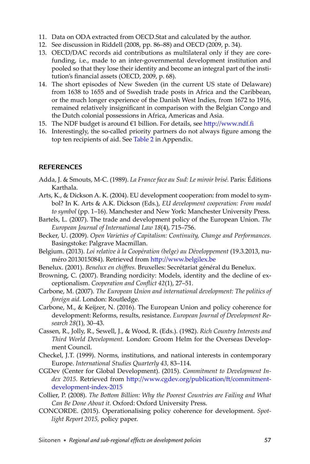- <span id="page-23-0"></span>11. Data on ODA extracted from OECD.Stat and calculated by the author.
- 12. See discussion in Riddell (2008, pp. 86–88) and OECD (2009, p. 34).
- 13. OECD/DAC records aid contributions as multilateral only if they are corefunding, i.e., made to an inter-governmental development institution and pooled so that they lose their identity and become an integral part of the institution's financial assets (OECD, 2009, p. 68).
- 14. The short episodes of New Sweden (in the current US state of Delaware) from 1638 to 1655 and of Swedish trade posts in Africa and the Caribbean, or the much longer experience of the Danish West Indies, from 1672 to 1916, remained relatively insignificant in comparison with the Belgian Congo and the Dutch colonial possessions in Africa, Americas and Asia.
- 15. The NDF budget is around €1 billion. For details, see http://www.ndf.fi
- 16. Interestingly, the so-called priority partners do not always figure among the top ten recipients of aid. See [Table 2](#page-30-0) in Appendix.

#### **REFERENCES**

- Adda, J. & Smouts, M-C. (1989). *La France face au Sud: Le miroir brisé.* Paris: Éditions Karthala.
- Arts, K., & Dickson A. K. (2004). EU development cooperation: from model to symbol? In K. Arts & A.K. Dickson (Eds.), *EU development cooperation: From model to symbol* (pp. 1–16). Manchester and New York: Manchester University Press.
- Bartels, L. (2007). The trade and development policy of the European Union. *The European Journal of International Law 18*(4), 715–756.
- Becker, U. (2009). *Open Varieties of Capitalism: Continuity, Change and Performances.* Basingstoke: Palgrave Macmillan.
- Belgium. (2013). *Loi relative à la Coopération (belge) au Développement* (19.3.2013, numéro 2013015084). Retrieved from http://www.belgilex.be
- Benelux. (2001). *Benelux en chiff res.* Bruxelles: Secrétariat général du Benelux.
- Browning, C. (2007). Branding nordicity: Models, identity and the decline of exceptionalism. *Cooperation and Conflict 42(1)*, 27–51.
- Carbone, M. (2007). *The European Union and international development: The politics of foreign aid.* London: Routledge.
- Carbone, M., & Keijzer, N. (2016). The European Union and policy coherence for development: Reforms, results, resistance. *European Journal of Development Research 28*(1), 30–43.
- Cassen, R., Jolly, R., Sewell, J., & Wood, R. (Eds.). (1982). *Rich Country Interests and Third World Development.* London: Groom Helm for the Overseas Development Council.
- Checkel, J.T. (1999). Norms, institutions, and national interests in contemporary Europe. *International Studies Quarterly 43,* 83–114.
- CGDev (Center for Global Development). (2015). *Commitment to Development In*dex 2015. Retrieved from http://www.cgdev.org/publication/ft/commitment[development-index-2015](http://www.cgdev.org/publication/ft /commitmentdevelopment-index-2015)
- Collier, P. (2008). *The Bottom Billion: Why the Poorest Countries are Failing and What Can Be Done About it.* Oxford: Oxford University Press.
- CONCORDE. (2015). Operationalising policy coherence for development. *Spotlight Report 2015,* policy paper.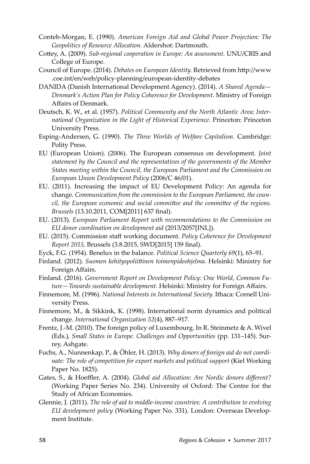- <span id="page-24-0"></span>Conteh-Morgan, E. (1990). *American Foreign Aid and Global Power Projection: The Geopolitics of Resource Allocation.* Aldershot: Dartmouth.
- Cottey, A. (2009). *Sub-regional cooperation in Europe: An assessment*. UNU/CRIS and College of Europe.
- Council of Europe. (2014). *Debates on European Identity*. Retrieved from http://www .coe.int/en/web/policy-planning/european-identity-debates
- DANIDA (Danish International Development Agency). (2014). *A Shared Agenda— Denmark's Action Plan for Policy Coherence for Development*. Ministry of Foreign Affairs of Denmark.
- Deutsch, K. W., et al. (1957). *Political Community and the North Atlantic Area: International Organization in the Light of Historical Experience.* Princeton: Princeton University Press.
- Esping-Andersen, G. (1990). *The Three Worlds of Welfare Capitalism.* Cambridge: Polity Press.
- EU (European Union). (2006). The European consensus on development. *Joint statement by the Council and the representatives of the governments of the Member States meeting within the Council, the European Parliament and the Commission on European Union Development Policy* (2006/C 46/01).
- EU. (2011). Increasing the impact of EU Development Policy: An agenda for change. *Communication from the commission to the European Parliament, the council, the European economic and social committee and the committee of the regions. Brussels* (13.10.2011, COM[2011] 637 final).
- EU. (2013). *European Parliament Report with recommendations to the Commission on EU donor coordination on development aid* (2013/2057[INL]).
- EU. (2015). Commission staff working document. *Policy Coherence for Development Report 2015, Brussels (3.8.2015, SWD[2015] 159 final).*
- Eyck, F.G. (1954). Benelux in the balance. *Political Science Quarterly 69*(1), 65–91.
- Finland. (2012). *Suomen kehityspoliitt inen toimenpideohjelma.* Helsinki: Ministry for Foreign Affairs.
- Finland. (2016). *Government Report on Development Policy: One World, Common Fu*ture-Towards sustainable development. Helsinki: Ministry for Foreign Affairs.
- Finnemore, M. (1996). *National Interests in International Society.* Ithaca: Cornell University Press.
- Finnemore, M., & Sikkink, K. (1998). International norm dynamics and political change. *International Organization 52*(4), 887–917.
- Frentz, J.-M. (2010). The foreign policy of Luxembourg. In R. Steinmetz & A. Wivel (Eds*.*)*, Small States in Europe. Challenges and Opportunities* (pp. 131–145). Surrey, Ashgate.
- Fuchs, A., Nunnenkap, P., & Öhler, H. (2013). *Why donors of foreign aid do not coordinate: The role of competition for export markets and political support* (Kiel Working Paper No. 1825).
- Gates, S., & Hoeffler, A. (2004). *Global aid Allocation: Are Nordic donors different?* (Working Paper Series No. 234). University of Oxford: The Centre for the Study of African Economies.
- Glennie, J. (2011). *The role of aid to middle-income countries: A contribution to evolving EU development policy* (Working Paper No. 331). London: Overseas Development Institute.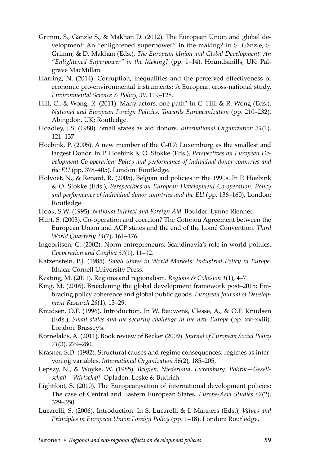- <span id="page-25-0"></span>Grimm, S., Gänzle S., & Makhan D. (2012). The European Union and global development: An "enlightened superpower" in the making? In S. Gänzle, S. Grimm, & D. Makhan (Eds.), *The European Union and Global Development: An "Enlightened Superpower" in the Making?* (pp. 1–14). Houndsmills, UK: Palgrave MacMillan.
- Harring, N. (2014). Corruption, inequalities and the perceived effectiveness of economic pro-environmental instruments: A European cross-national study. *Environmental Science & Policy, 39,* 119–128.
- Hill, C., & Wong, R. (2011). Many actors, one path? In C. Hill & R. Wong (Eds.), *National and European Foreign Policies: Towards Europeanization* (pp. 210–232). Abingdon, UK: Routledge.
- Hoadley, J.S. (1980). Small states as aid donors. *International Organization 34*(1), 121–137.
- Hoebink, P. (2005). A new member of the G-0.7: Luxemburg as the smallest and largest Donor. In P. Hoebink & O. Stokke (Eds.), *Perspectives on European Development Co-operation: Policy and performance of individual donor countries and the EU* (pp. 378–405). London: Routledge.
- Holvoet, N., & Renard, R. (2005). Belgian aid policies in the 1990s. In P. Hoebink & O. Stokke (Eds.), *Perspectives on European Development Co-operation. Policy and performance of individual donor countries and the EU* (pp. 136–160). London: Routledge.
- Hook, S.W. (1995). *National Interest and Foreign Aid.* Boulder: Lynne Rienner.
- Hurt, S. (2003). Co-operation and coercion? The Cotonou Agreement between the European Union and ACP states and the end of the Lomé Convention. *Third World Quarterly 24*(7), 161–176.
- Ingebritsen, C. (2002). Norm entrepreneurs: Scandinavia's role in world politics. *Cooperation and Conflict 37(1), 11-12.*
- Katzenstein, P.J. (1985). *Small States in World Markets: Industrial Policy in Europe.* Ithaca: Cornell University Press.
- Keating, M. (2011). Regions and regionalism. *Regions & Cohesion 1*(1), 4–7.
- King, M. (2016). Broadening the global development framework post–2015: Embracing policy coherence and global public goods. *European Journal of Development Research 28*(1), 13–29.
- Knudsen, O.F. (1996). Introduction. In W. Bauwens, Clesse, A., & O.F. Knudsen (Eds.), *Small states and the security challenge in the new Europe* (pp. xv–xxiii). London: Brassey's.
- Kornelakis, A. (2011). Book review of Becker (2009). *Journal of European Social Policy 21*(3), 279–280.
- Krasner, S.D. (1982). Structural causes and regime consequences: regimes as intervening variables. *International Organization 36*(2), 185–205.
- Lepszy, N., & Woyke, W. (1985). *Belgien, Niederland, Luxemburg. Politik—Gesellsch aft —Wirtsch aft .* Opladen: Leske & Budrich.
- Lightfoot, S. (2010). The Europeanisation of international development policies: The case of Central and Eastern European States. *Europe-Asia Studies 62*(2), 329–350.
- Lucarelli, S. (2006). Introduction. In S. Lucarelli & I. Manners (Eds.), *Values and Principles in European Union Foreign Policy* (pp. 1–18). London: Routledge.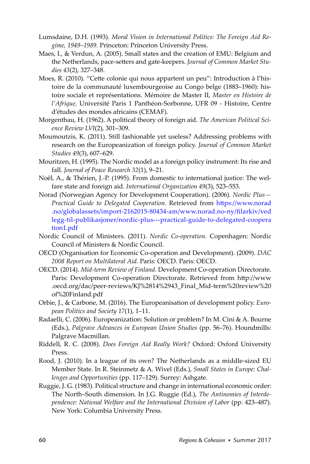- <span id="page-26-0"></span>Lumsdaine, D.H. (1993). *Moral Vision in International Politics: The Foreign Aid Regime, 1949–1989.* Princeton: Princeton University Press.
- Maes, I., & Verdun, A. (2005). Small states and the creation of EMU: Belgium and the Netherlands, pace-setters and gate-keepers. *Journal of Common Market Studies 43*(2), 327–348.
- Moes, R. (2010). "Cette colonie qui nous appartent un peu": Introduction à l'histoire de la communauté luxembourgeoise au Congo belge (1883–1960): histoire sociale et représentations. Mémoire de Master II, *Master en Histoire de l'Afrique,* Université Paris 1 Panthéon-Sorbonne, UFR 09 - Histoire, Centre d'études des mondes africains (CEMAF).
- Morgenthau, H. (1962). A political theory of foreign aid. *The American Political Science Review LVI*(2), 301–309.
- Moumoutzis, K. (2011). Still fashionable yet useless? Addressing problems with research on the Europeanization of foreign policy. *Journal of Common Market Studies 49*(3), 607–629.
- Mouritzen, H. (1995). The Nordic model as a foreign policy instrument: Its rise and fall. *Journal of Peace Research 32*(1), 9–21.
- Noël, A., & Thérien, J.-P. (1995). From domestic to international justice: The welfare state and foreign aid. *International Organization 49*(3), 523–553.
- Norad (Norwegian Agency for Development Cooperation). (2006). *Nordic Plus—* Practical Guide to Delegated Cooperation. Retrieved from https://www.norad [.no/globalassets/import-2162015-80434-am/www.norad.no-ny/fi larkiv/ved](https://www.norad.no/globalassets/import-2162015-80434-am/www.norad.no-ny/fi larkiv/vedlegg-til-publikasjoner/nordic-plus---practical-guide-to-delegated-coopera) [legg-til-publikasjoner/nordic-plus---practical-guide-to-delegated-coopera](https://www.norad.no/globalassets/import-2162015-80434-am/www.norad.no-ny/fi larkiv/vedlegg-til-publikasjoner/nordic-plus---practical-guide-to-delegated-cooperationl.pdf) [tion1.pdf](https://www.norad.no/globalassets/import-2162015-80434-am/www.norad.no-ny/fi larkiv/vedlegg-til-publikasjoner/nordic-plus---practical-guide-to-delegated-cooperationl.pdf)
- Nordic Council of Ministers. (2011). *Nordic Co-operation.* Copenhagen: Nordic Council of Ministers & Nordic Council.
- OECD (Organisation for Economic Co-operation and Development). (2009). *DAC 2008 Report on Multilateral Aid.* Paris: OECD. Paris: OECD.
- OECD. (2014). *Mid-term Review of Finland.* Development Co-operation Directorate. Paris: Development Co-operation Directorate. Retrieved from http://www .oecd.org/dac/peer-reviews/KJ%2814%2943\_Final\_Mid-term%20review%20 of%20Finland.pdf
- Orbie, J., & Carbone, M. (2016). The Europeanisation of development policy. *European Politics and Society 17*(1), 1–11.
- Radaelli, C. (2006). Europeanization: Solution or problem? In M. Cini & A. Bourne (Eds.), *Palgrave Advances in European Union Studies* (pp. 56–76). Houndmills: Palgrave Macmillan.
- Riddell, R. C. (2008). *Does Foreign Aid Really Work?* Oxford: Oxford University Press.
- Rood, J. (2010). In a league of its own? The Netherlands as a middle-sized EU Member State. In R. Steinmetz & A. Wivel (Eds*.*), *Small States in Europe: Challenges and Opportunities* (pp. 117–129). Surrey: Ashgate.
- Ruggie, J. G. (1983). Political structure and change in international economic order: The North–South dimension. In J.G. Ruggie (Ed.), *The Antinomies of Interde*pendence: National Welfare and the International Division of Labor (pp. 423–487). New York: Columbia University Press.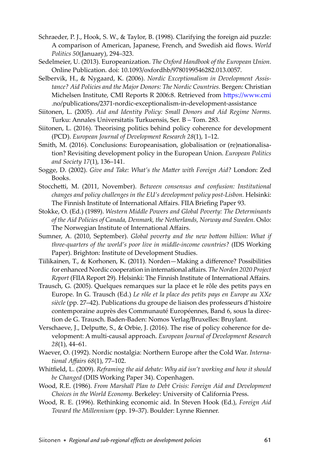- Schraeder, P. J., Hook, S. W., & Taylor, B. (1998). Clarifying the foreign aid puzzle: A comparison of American, Japanese, French, and Swedish aid flows. *World Politics 50*(January), 294–323.
- Sedelmeier, U. (2013). Europeanization. *The Oxford Handbook of the European Union.* Online Publication. doi: 10.1093/oxfordhb/9780199546282.013.0057.
- Selbervik, H., & Nygaard, K. (2006). *Nordic Exceptionalism in Development Assistance? Aid Policies and the Major Donors: The Nordic Countries.* Bergen: Christian Michelsen Institute, CMI Reports R 2006:8. Retrieved from https://www.cmi .no/publications/2371-nordic-exceptionalism-in-development-assistance
- Siitonen, L. (2005). *Aid and Identity Policy: Small Donors and Aid Regime Norms.* Turku: Annales Universitatis Turkuensis, Ser. B – Tom. 283.
- Siitonen, L. (2016). Theorising politics behind policy coherence for development (PCD). *European Journal of Development Research 28*(1), 1–12.
- Smith, M. (2016). Conclusions: Europeanisation, globalisation or (re)nationalisation? Revisiting development policy in the European Union. *European Politics and Society 17*(1), 136–141.
- Sogge, D. (2002). *Give and Take: What's the Matt er with Foreign Aid?* London: Zed Books.
- Stocchetti, M. (2011, November). *Between consensus and confusion: Institutional changes and policy challenges in the EU's development policy post-Lisbon.* Helsinki: The Finnish Institute of International Affairs. FIIA Briefing Paper 93.
- Stokke, O. (Ed.) (1989). *Western Middle Powers and Global Poverty: The Determinants of the Aid Policies of Canada, Denmark, the Netherlands, Norway and Sweden.* Oslo: The Norwegian Institute of International Affairs.
- Sumner, A. (2010, September). *Global poverty and the new bottom billion: What if three-quarters of the world's poor live in middle-income countries?* (IDS Working Paper). Brighton: Institute of Development Studies.
- Tiilikainen, T., & Korhonen, K. (2011). Norden-Making a difference? Possibilities for enhanced Nordic cooperation in international affairs. The Norden 2020 Project *Report* (FIIA Report 29). Helsinki: The Finnish Institute of International Affairs.
- Trausch, G. (2005). Quelques remarques sur la place et le rôle des petits pays en Europe. In G. Trausch (Ed.) *Le rôle et la place des petits pays en Europe au XXe siècle* (pp. 27–42). Publications du groupe de liaison des professeurs d'histoire contemporaine auprès des Communauté Européennes, Band 6, sous la direction de G. Trausch. Baden-Baden: Nomos Verlag/Bruxelles: Bruylant.
- Verschaeve, J., Delputte, S., & Orbie, J. (2016). The rise of policy coherence for development: A multi-causal approach. *European Journal of Development Research 28*(1), 44–61.
- Waever, O. (1992). Nordic nostalgia: Northern Europe after the Cold War. Interna*tional Aff airs 68*(1), 77–102.
- Whitfield, L. (2009). *Reframing the aid debate: Why aid isn't working and how it should be Changed* (DIIS Working Paper 34). Copenhagen.
- Wood, R.E. (1986). *From Marshall Plan to Debt Crisis: Foreign Aid and Development Choices in the World Economy.* Berkeley: University of California Press.
- Wood, R. E. (1996). Rethinking economic aid. In Steven Hook (Ed.), *Foreign Aid Toward the Millennium* (pp. 19–37). Boulder: Lynne Rienner.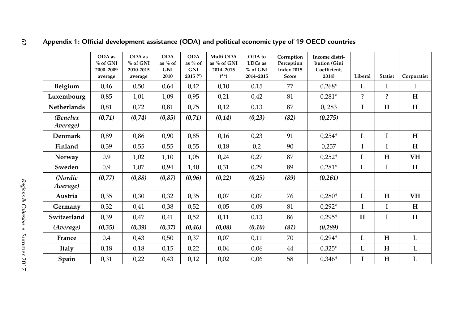|                      | ODA as<br>% of GNI<br>2000-2009<br>average | ODA as<br>% of GNI<br>2010-2015<br>average | <b>ODA</b><br>as % of<br><b>GNI</b><br>2010 | <b>ODA</b><br>as % of<br><b>GNI</b><br>$2015$ (*) | Multi ODA<br>as % of GNI<br>2014-2015<br>$(**)$ | ODA to<br>LDCs as<br>% of GNI<br>2014-2015 | Corruption<br>Perception<br><b>Index 2015</b><br>Score | Income distri-<br>bution (Gini<br>Coefficient,<br>2014) | Liberal | <b>Statist</b> | Corporatist |
|----------------------|--------------------------------------------|--------------------------------------------|---------------------------------------------|---------------------------------------------------|-------------------------------------------------|--------------------------------------------|--------------------------------------------------------|---------------------------------------------------------|---------|----------------|-------------|
| Belgium              | 0,46                                       | 0,50                                       | 0,64                                        | 0,42                                              | 0,10                                            | 0,15                                       | 77                                                     | $0,268*$                                                | L       | I              | Ι           |
| Luxembourg           | 0,85                                       | 1,01                                       | 1,09                                        | 0,95                                              | 0,21                                            | 0,42                                       | 81                                                     | $0.281*$                                                | ?       | $\overline{?}$ | H           |
| <b>Netherlands</b>   | 0,81                                       | 0,72                                       | 0,81                                        | 0,75                                              | 0,12                                            | 0,13                                       | 87                                                     | 0,283                                                   | I       | H              | H           |
| (Benelux<br>Average) | (0, 71)                                    | (0,74)                                     | (0, 85)                                     | (0, 71)                                           | (0, 14)                                         | (0,23)                                     | (82)                                                   | (0, 275)                                                |         |                |             |
| Denmark              | 0,89                                       | 0,86                                       | 0,90                                        | 0,85                                              | 0,16                                            | 0,23                                       | 91                                                     | $0,254*$                                                | L       | I              | H           |
| Finland              | 0,39                                       | 0,55                                       | 0,55                                        | 0,55                                              | 0,18                                            | 0,2                                        | 90                                                     | 0,257                                                   | I       | T              | H           |
| Norway               | 0,9                                        | 1,02                                       | 1,10                                        | 1,05                                              | 0,24                                            | 0,27                                       | 87                                                     | $0,252*$                                                | L       | H              | VH          |
| Sweden               | 0,9                                        | 1,07                                       | 0,94                                        | 1,40                                              | 0,31                                            | 0,29                                       | 89                                                     | $0,281*$                                                | L       | I              | H           |
| (Nordic<br>Average)  | (0,77)                                     | (0,88)                                     | (0, 87)                                     | (0, 96)                                           | (0,22)                                          | (0,25)                                     | (89)                                                   | (0,261)                                                 |         |                |             |
| Austria              | 0,35                                       | 0,30                                       | 0,32                                        | 0,35                                              | 0,07                                            | 0,07                                       | 76                                                     | $0.280*$                                                | L       | H              | VH          |
| Germany              | 0,32                                       | 0,41                                       | 0,38                                        | 0,52                                              | 0,05                                            | 0,09                                       | 81                                                     | $0,292*$                                                | I       | Ι              | H           |
| Switzerland          | 0,39                                       | 0,47                                       | 0,41                                        | 0,52                                              | 0,11                                            | 0,13                                       | 86                                                     | $0,295*$                                                | H       | I              | H           |
| (Average)            | (0, 35)                                    | (0, 39)                                    | (0,37)                                      | (0, 46)                                           | (0,08)                                          | (0,10)                                     | (81)                                                   | (0, 289)                                                |         |                |             |
| France               | 0,4                                        | 0,43                                       | 0,50                                        | 0,37                                              | 0,07                                            | 0,11                                       | 70                                                     | $0,294*$                                                | L       | H              | L           |
| <b>Italy</b>         | 0,18                                       | 0,18                                       | 0,15                                        | 0,22                                              | 0,04                                            | 0,06                                       | 44                                                     | $0,325*$                                                | L       | H              | L           |
| Spain                | 0,31                                       | 0,22                                       | 0,43                                        | 0,12                                              | 0,02                                            | 0,06                                       | 58                                                     | $0.346*$                                                | I       | H              | L           |

# <span id="page-28-0"></span>Appendix 1: Official development assistance (ODA) and political economic type of 19 OECD countries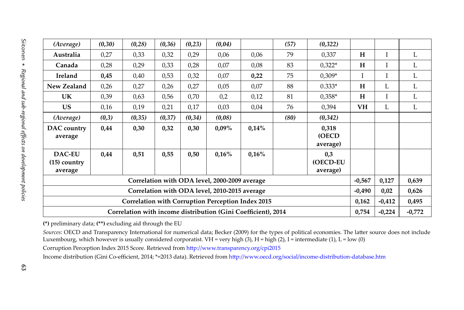| (Average)<br>Australia<br>Canada                              | (0, 30)<br>0,27 | (0, 28) |         |         |                                                   |       |      |                                   |           |             |          |
|---------------------------------------------------------------|-----------------|---------|---------|---------|---------------------------------------------------|-------|------|-----------------------------------|-----------|-------------|----------|
|                                                               |                 |         | (0, 36) | (0, 23) | (0,04)                                            |       | (57) | (0, 322)                          |           |             |          |
|                                                               |                 | 0,33    | 0,32    | 0,29    | 0,06                                              | 0,06  | 79   | 0,337                             | H         | I           | L        |
|                                                               | 0,28            | 0,29    | 0,33    | 0,28    | 0,07                                              | 0,08  | 83   | $0,322*$                          | H         | $\mathbf I$ | L        |
| Ireland                                                       | 0,45            | 0,40    | 0,53    | 0,32    | 0,07                                              | 0,22  | 75   | $0,309*$                          | I         | I           | L        |
| New Zealand                                                   | 0,26            | 0,27    | 0,26    | 0,27    | 0,05                                              | 0,07  | 88   | $0.333*$                          | H         | L           | L        |
| <b>UK</b>                                                     | 0,39            | 0,63    | 0,56    | 0,70    | 0,2                                               | 0,12  | 81   | $0.358*$                          | H         | I           | L        |
| <b>US</b>                                                     | 0,16            | 0,19    | 0,21    | 0,17    | 0,03                                              | 0,04  | 76   | 0,394                             | <b>VH</b> | L           | L        |
| (Average)                                                     | (0,3)           | (0, 35) | (0,37)  | (0, 34) | (0,08)                                            |       | (80) | (0, 342)                          |           |             |          |
| DAC country<br>average                                        | 0,44            | 0,30    | 0,32    | 0,30    | $0.09\%$                                          | 0,14% |      | 0,318<br><b>(OECD</b><br>average) |           |             |          |
| <b>DAC-EU</b><br>$(15)$ country<br>average                    | 0,44            | 0,51    | 0,55    | 0,50    | 0,16%                                             | 0,16% |      | 0,3<br>(OECD-EU<br>average)       |           |             |          |
| Correlation with ODA level, 2000-2009 average                 |                 |         |         |         |                                                   |       |      |                                   | $-0,567$  | 0,127       | 0,639    |
|                                                               |                 |         |         |         | Correlation with ODA level, 2010-2015 average     |       |      |                                   | $-0,490$  | 0,02        | 0,626    |
|                                                               |                 |         |         |         | Correlation with Corruption Perception Index 2015 |       |      |                                   | 0,162     | $-0,412$    | 0,495    |
| Correlation with income distribution (Gini Coefficient), 2014 |                 |         |         |         |                                                   |       |      |                                   |           | $-0,224$    | $-0,772$ |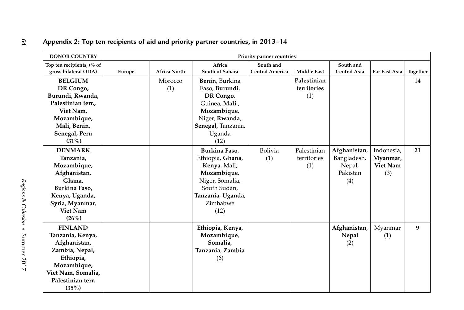| <b>DONOR COUNTRY</b>                              |        |                     |                           | Priority partner countries   |                    |                           |               |          |  |
|---------------------------------------------------|--------|---------------------|---------------------------|------------------------------|--------------------|---------------------------|---------------|----------|--|
| Top ten recipients, (% of<br>gross bilateral ODA) | Europe | <b>Africa North</b> | Africa<br>South of Sahara | South and<br>Central America | <b>Middle East</b> | South and<br>Central Asia | Far East Asia | Together |  |
| <b>BELGIUM</b>                                    |        | Morocco             | Benin, Burkina            |                              | Palestinian        |                           |               |          |  |
| DR Congo,                                         |        | (1)                 | Faso, Burundi,            |                              | territories        |                           |               |          |  |
| Burundi, Rwanda,                                  |        |                     | DR Congo,                 |                              | (1)                |                           |               |          |  |
| Palestinian terr.,                                |        |                     | Guinea, Mali,             |                              |                    |                           |               |          |  |
| Viet Nam,                                         |        |                     | Mozambique,               |                              |                    |                           |               |          |  |
| Mozambique,                                       |        |                     | Niger, Rwanda,            |                              |                    |                           |               |          |  |
| Mali, Benin,                                      |        |                     | Senegal, Tanzania,        |                              |                    |                           |               |          |  |
| Senegal, Peru                                     |        |                     | Uganda                    |                              |                    |                           |               |          |  |
| (31%)                                             |        |                     | (12)                      |                              |                    |                           |               |          |  |
| <b>DENMARK</b>                                    |        |                     | Burkina Faso,             | <b>Bolivia</b>               | Palestinian        | Afghanistan,              | Indonesia,    |          |  |
| Tanzania,                                         |        |                     | Ethiopia, Ghana,          | (1)                          | territories        | Bangladesh,               | Myanmar,      |          |  |
| Mozambique,                                       |        |                     | Kenya, Mali,              |                              | (1)                | Nepal,                    | Viet Nam      |          |  |
| Afghanistan,                                      |        |                     | Mozambique,               |                              |                    | Pakistan                  | (3)           |          |  |
| Ghana.                                            |        |                     | Niger, Somalia,           |                              |                    | (4)                       |               |          |  |
| Burkina Faso,                                     |        |                     | South Sudan,              |                              |                    |                           |               |          |  |
| Kenya, Uganda,                                    |        |                     | Tanzania, Uganda,         |                              |                    |                           |               |          |  |
| Syria, Myanmar,                                   |        |                     | Zimbabwe                  |                              |                    |                           |               |          |  |
| <b>Viet Nam</b>                                   |        |                     | (12)                      |                              |                    |                           |               |          |  |
| (26%)                                             |        |                     |                           |                              |                    |                           |               |          |  |
| <b>FINLAND</b>                                    |        |                     | Ethiopia, Kenya,          |                              |                    | Afghanistan,              | Myanmar       |          |  |
| Tanzania, Kenya,                                  |        |                     | Mozambique,               |                              |                    | Nepal                     | (1)           |          |  |
| Afghanistan,                                      |        |                     | Somalia,                  |                              |                    | (2)                       |               |          |  |
| Zambia, Nepal,                                    |        |                     | Tanzania, Zambia          |                              |                    |                           |               |          |  |
| Ethiopia,                                         |        |                     | (6)                       |                              |                    |                           |               |          |  |
| Mozambique,                                       |        |                     |                           |                              |                    |                           |               |          |  |
| Viet Nam, Somalia,                                |        |                     |                           |                              |                    |                           |               |          |  |
| Palestinian terr.                                 |        |                     |                           |                              |                    |                           |               |          |  |
| (35%)                                             |        |                     |                           |                              |                    |                           |               |          |  |

# <span id="page-30-0"></span>64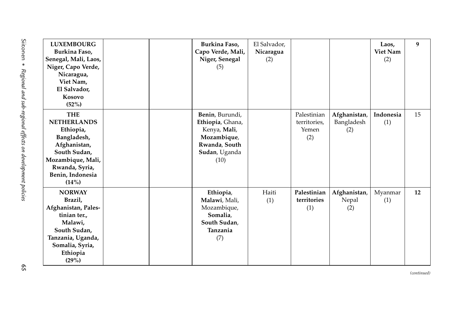<span id="page-31-0"></span>

| <b>LUXEMBOURG</b><br>Burkina Faso,<br>Senegal, Mali, Laos,<br>Niger, Capo Verde,<br>Nicaragua,<br>Viet Nam,<br>El Salvador,<br>Kosovo<br>(52%)                   | Burkina Faso,<br>Capo Verde, Mali,<br>Niger, Senegal<br>(5)                                                  | El Salvador,<br>Nicaragua<br>(2) |                                             |                                   | Laos,<br>Viet Nam<br>(2) | 9  |
|------------------------------------------------------------------------------------------------------------------------------------------------------------------|--------------------------------------------------------------------------------------------------------------|----------------------------------|---------------------------------------------|-----------------------------------|--------------------------|----|
| <b>THE</b><br><b>NETHERLANDS</b><br>Ethiopia,<br>Bangladesh,<br>Afghanistan,<br>South Sudan,<br>Mozambique, Mali,<br>Rwanda, Syria,<br>Benin, Indonesia<br>(14%) | Benin, Burundi,<br>Ethiopia, Ghana,<br>Kenya, Mali,<br>Mozambique,<br>Rwanda, South<br>Sudan, Uganda<br>(10) |                                  | Palestinian<br>territories,<br>Yemen<br>(2) | Afghanistan,<br>Bangladesh<br>(2) | Indonesia<br>(1)         | 15 |
| <b>NORWAY</b><br>Brazil,<br>Afghanistan, Pales-<br>tinian ter.,<br>Malawi,<br>South Sudan,<br>Tanzania, Uganda,<br>Somalia, Syria,<br>Ethiopia<br>(29%)          | Ethiopia,<br>Malawi, Mali,<br>Mozambique,<br>Somalia,<br>South Sudan,<br>Tanzania<br>(7)                     | Haiti<br>(1)                     | Palestinian<br>territories<br>(1)           | Afghanistan,<br>Nepal<br>(2)      | Myanmar<br>(1)           | 12 |

*(continued)*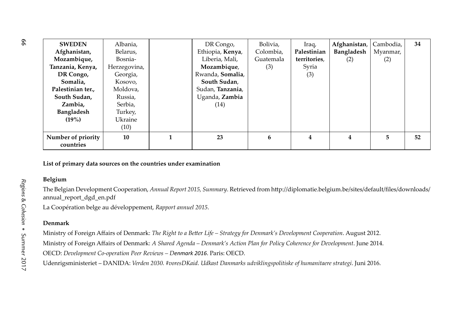| <b>SWEDEN</b>                   | Albania,       | DR Congo,        | Bolivia,  | Iraq,        | Afghanistan,      | Cambodia, | 34 |
|---------------------------------|----------------|------------------|-----------|--------------|-------------------|-----------|----|
| Afghanistan,                    | Belarus,       | Ethiopia, Kenya, | Colombia, | Palestinian  | <b>Bangladesh</b> | Myanmar,  |    |
| Mozambique,                     | Bosnia-        | Liberia, Mali,   | Guatemala | territories, | (2)               | (2)       |    |
| Tanzania, Kenya,                | Herzegovina,   | Mozambique,      | (3)       | Syria        |                   |           |    |
| DR Congo,                       | Georgia,       | Rwanda, Somalia, |           | (3)          |                   |           |    |
| Somalia.                        | Kosovo,        | South Sudan,     |           |              |                   |           |    |
| Palestinian ter.,               | Moldova,       | Sudan, Tanzania, |           |              |                   |           |    |
| South Sudan,                    | Russia,        | Uganda, Zambia   |           |              |                   |           |    |
| Zambia.                         | Serbia,        | (14)             |           |              |                   |           |    |
| <b>Bangladesh</b>               | Turkey,        |                  |           |              |                   |           |    |
| $(19\%)$                        | <b>Ukraine</b> |                  |           |              |                   |           |    |
|                                 | (10)           |                  |           |              |                   |           |    |
| Number of priority<br>countries | 10             | 23               | 6         | 4            | 4                 | 5         | 52 |

**List of primary data sources on the countries under examination** 

#### **Belgium**

The Belgian Development Cooperation, Annual Report 2015, Summary. Retrieved from http://diplomatie.belgium.be/sites/default/files/downloads/ annual\_report\_dgd\_en.pdf

La Coopération belge au développement, *Rapport annuel 2015*.

#### **Denmark**

Ministry of Foreign Aff airs of Denmark: *The Right to a Bett er Life – Strategy for Denmark's Development Cooperation*. August 2012.

Ministry of Foreign Aff airs of Denmark: *A Shared Agenda – Denmark's Action Plan for Policy Coherence for Development*. June 2014.

OECD: *Development Co-operation Peer Reviews – Denmark 2016*. Paris: OECD.

Udenrigsministeriet – DANIDA: *Verden 2030. #voresDKaid. Udkast Danmarks udviklingspolitiske of humanitaere strategi*. Juni 2016.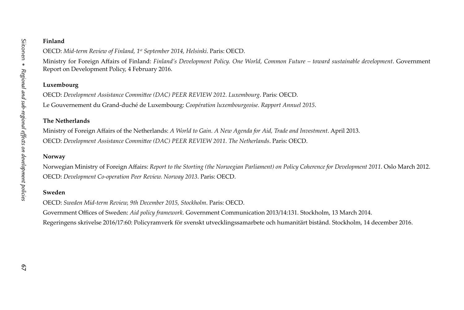#### **Finland**

OECD: *Mid-term Review of Finland, 1st September 2014, Helsinki*. Paris: OECD.

Ministry for Foreign Affairs of Finland: *Finland's Development Policy. One World, Common Future – toward sustainable development*. Government Report on Development Policy, 4 February 2016.

#### **Luxembourg**

OECD: *Development Assistance Committ ee (DAC) PEER REVIEW 2012. Luxembourg*. Paris: OECD. Le Gouvernement du Grand-duché de Luxembourg: *Coopération luxembourgeoise. Rapport Annuel 2015*.

#### **The Netherlands**

Ministry of Foreign Affairs of the Netherlands: *A World to Gain. A New Agenda for Aid, Trade and Investment*. April 2013. OECD: *Development Assistance Committ ee (DAC) PEER REVIEW 2011. The Netherlands*. Paris: OECD.

#### **Norway**

Norwegian Ministry of Foreign Affairs: *Report to the Storting (the Norwegian Parliament) on Policy Coherence for Development 2011*. Oslo March 2012. OECD: *Development Co-operation Peer Review. Norway 2013*. Paris: OECD.

#### **Sweden**

OECD: *Sweden Mid-term Review, 9th December 2015, Stockholm*. Paris: OECD.

Government Offices of Sweden: *Aid policy framework*. Government Communication 2013/14:131. Stockholm, 13 March 2014.

Regeringens skrivelse 2016/17:60: Policyramverk för svenskt utvecklingssamarbete och humanitärt bistånd. Stockholm, 14 december 2016.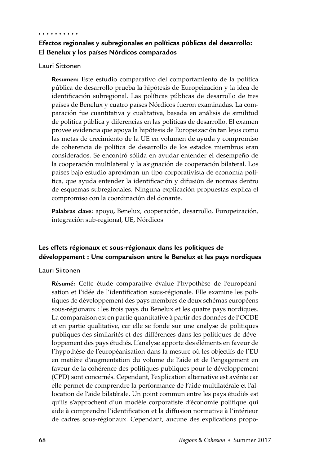#### . . . . . . . . . .

# **Efectos regionales y subregionales en políticas públicas del desarrollo: El Benelux y los países Nórdicos comparados**

#### Lauri Sittonen

**Resumen:** Este estudio comparativo del comportamiento de la política pública de desarrollo prueba la hipótesis de Europeización y la idea de identificación subregional. Las políticas públicas de desarrollo de tres países de Benelux y cuatro países Nórdicos fueron examinadas. La comparación fue cuantitativa y cualitativa, basada en análisis de similitud de política pública y diferencias en las políticas de desarrollo. El examen provee evidencia que apoya la hipótesis de Europeización tan lejos como las metas de crecimiento de la UE en volumen de ayuda y compromiso de coherencia de política de desarrollo de los estados miembros eran considerados. Se encontró sólida en ayudar entender el desempeño de la cooperación multilateral y la asignación de cooperación bilateral. Los países bajo estudio aproximan un tipo corporativista de economía política, que ayuda entender la identificación y difusión de normas dentro de esquemas subregionales. Ninguna explicación propuestas explica el compromiso con la coordinación del donante.

**Palabras clave:** apoyo**,** Benelux, cooperación, desarrollo, Europeización, integración sub-regional, UE, Nórdicos

## **Les effets régionaux et sous-régionaux dans les politiques de développement : Une comparaison entre le Benelux et les pays nordiques**

#### Lauri Siitonen

Résumé: Cette étude comparative évalue l'hypothèse de l'européanisation et l'idée de l'identification sous-régionale. Elle examine les politiques de développement des pays membres de deux schémas européens sous-régionaux : les trois pays du Benelux et les quatre pays nordiques. La comparaison est en partie quantitative à partir des données de l'OCDE et en partie qualitative, car elle se fonde sur une analyse de politiques publiques des similarités et des différences dans les politiques de développement des pays étudiés. L'analyse apporte des éléments en faveur de l'hypothèse de l'européanisation dans la mesure où les objectifs de l'EU en matière d'augmentation du volume de l'aide et de l'engagement en faveur de la cohérence des politiques publiques pour le développement (CPD) sont concernés. Cependant, l'explication alternative est avérée car elle permet de comprendre la performance de l'aide multilatérale et l'allocation de l'aide bilatérale. Un point commun entre les pays étudiés est qu'ils s'approchent d'un modèle corporatiste d'économie politique qui aide à comprendre l'identification et la diffusion normative à l'intérieur de cadres sous-régionaux. Cependant, aucune des explications propo